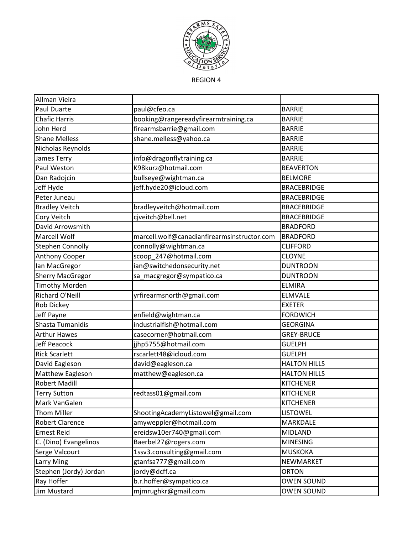

REGION 4

| Allman Vieira           |                                             |                     |
|-------------------------|---------------------------------------------|---------------------|
| Paul Duarte             | paul@cfeo.ca                                | <b>BARRIE</b>       |
| <b>Chafic Harris</b>    | booking@rangereadyfirearmtraining.ca        | <b>BARRIE</b>       |
| John Herd               | firearmsbarrie@gmail.com                    | <b>BARRIE</b>       |
| <b>Shane Melless</b>    | shane.melless@yahoo.ca                      | <b>BARRIE</b>       |
| Nicholas Reynolds       |                                             | <b>BARRIE</b>       |
| James Terry             | info@dragonflytraining.ca                   | <b>BARRIE</b>       |
| Paul Weston             | K98kurz@hotmail.com                         | <b>BEAVERTON</b>    |
| Dan Radojcin            | bullseye@wightman.ca                        | <b>BELMORE</b>      |
| Jeff Hyde               | jeff.hyde20@icloud.com                      | <b>BRACEBRIDGE</b>  |
| Peter Juneau            |                                             | <b>BRACEBRIDGE</b>  |
| <b>Bradley Veitch</b>   | bradleyveitch@hotmail.com                   | <b>BRACEBRIDGE</b>  |
| Cory Veitch             | cjveitch@bell.net                           | <b>BRACEBRIDGE</b>  |
| David Arrowsmith        |                                             | <b>BRADFORD</b>     |
| Marcell Wolf            | marcell.wolf@canadianfirearmsinstructor.com | <b>BRADFORD</b>     |
| <b>Stephen Connolly</b> | connolly@wightman.ca                        | <b>CLIFFORD</b>     |
| Anthony Cooper          | scoop_247@hotmail.com                       | <b>CLOYNE</b>       |
| lan MacGregor           | ian@switchedonsecurity.net                  | <b>DUNTROON</b>     |
| <b>Sherry MacGregor</b> | sa_macgregor@sympatico.ca                   | <b>DUNTROON</b>     |
| <b>Timothy Morden</b>   |                                             | <b>ELMIRA</b>       |
| Richard O'Neill         | yrfirearmsnorth@gmail.com                   | ELMVALE             |
| Rob Dickey              |                                             | <b>EXETER</b>       |
| Jeff Payne              | enfield@wightman.ca                         | <b>FORDWICH</b>     |
| Shasta Tumanidis        | industrialfish@hotmail.com                  | <b>GEORGINA</b>     |
| <b>Arthur Hawes</b>     | casecorner@hotmail.com                      | <b>GREY-BRUCE</b>   |
| <b>Jeff Peacock</b>     | jjhp5755@hotmail.com                        | <b>GUELPH</b>       |
| <b>Rick Scarlett</b>    | rscarlett48@icloud.com                      | <b>GUELPH</b>       |
| David Eagleson          | david@eagleson.ca                           | <b>HALTON HILLS</b> |
| Matthew Eagleson        | matthew@eagleson.ca                         | <b>HALTON HILLS</b> |
| <b>Robert Madill</b>    |                                             | <b>KITCHENER</b>    |
| <b>Terry Sutton</b>     | redtass01@gmail.com                         | <b>KITCHENER</b>    |
| Mark VanGalen           |                                             | <b>KITCHENER</b>    |
| Thom Miller             | ShootingAcademyListowel@gmail.com           | <b>LISTOWEL</b>     |
| <b>Robert Clarence</b>  | amyweppler@hotmail.com                      | MARKDALE            |
| <b>Ernest Reid</b>      | ereidsw10er740@gmail.com                    | <b>MIDLAND</b>      |
| C. (Dino) Evangelinos   | Baerbel27@rogers.com                        | <b>MINESING</b>     |
| Serge Valcourt          | 1ssv3.consulting@gmail.com                  | <b>MUSKOKA</b>      |
| <b>Larry Ming</b>       | gtanfsa777@gmail.com                        | NEWMARKET           |
| Stephen (Jordy) Jordan  | jordy@dcff.ca                               | <b>ORTON</b>        |
| Ray Hoffer              | b.r.hoffer@sympatico.ca                     | <b>OWEN SOUND</b>   |
| Jim Mustard             | mjmrughkr@gmail.com                         | <b>OWEN SOUND</b>   |